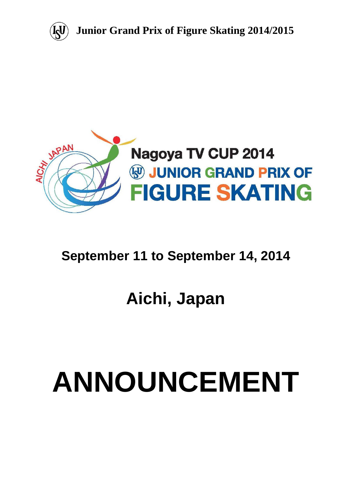



# **September 11 to September 14, 2014**

# **Aichi, Japan**

# **ANNOUNCEMENT**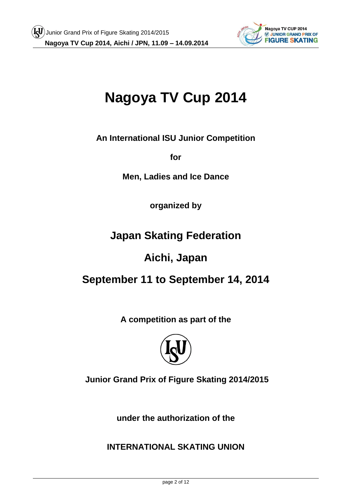

# **Nagoya TV Cup 2014**

**An International ISU Junior Competition** 

**for** 

**Men, Ladies and Ice Dance**

**organized by**

**Japan Skating Federation**

# **Aichi, Japan**

# **September 11 to September 14, 2014**

**A competition as part of the**



**Junior Grand Prix of Figure Skating 2014/2015**

**under the authorization of the** 

**INTERNATIONAL SKATING UNION**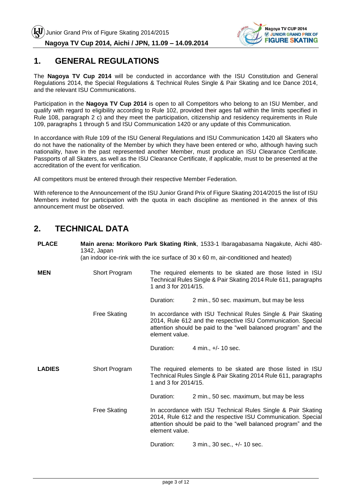

#### **1. GENERAL REGULATIONS**

The **Nagoya TV Cup 2014** will be conducted in accordance with the ISU Constitution and General Regulations 2014, the Special Regulations & Technical Rules Single & Pair Skating and Ice Dance 2014, and the relevant ISU Communications.

Participation in the **Nagoya TV Cup 2014** is open to all Competitors who belong to an ISU Member, and qualify with regard to eligibility according to Rule 102, provided their ages fall within the limits specified in Rule 108, paragraph 2 c) and they meet the participation, citizenship and residency requirements in Rule 109, paragraphs 1 through 5 and ISU Communication 1420 or any update of this Communication.

In accordance with Rule 109 of the ISU General Regulations and ISU Communication 1420 all Skaters who do not have the nationality of the Member by which they have been entered or who, although having such nationality, have in the past represented another Member, must produce an ISU Clearance Certificate. Passports of all Skaters, as well as the ISU Clearance Certificate, if applicable, must to be presented at the accreditation of the event for verification.

All competitors must be entered through their respective Member Federation.

With reference to the Announcement of the ISU Junior Grand Prix of Figure Skating 2014/2015 the list of ISU Members invited for participation with the quota in each discipline as mentioned in the annex of this announcement must be observed.

# **2. TECHNICAL DATA**

| <b>PLACE</b>  | Main arena: Morikoro Park Skating Rink, 1533-1 Ibaragabasama Nagakute, Aichi 480-<br>1342, Japan<br>(an indoor ice-rink with the ice surface of 30 x 60 m, air-conditioned and heated) |                                                                                                                                                                                                                   |                                          |  |  |
|---------------|----------------------------------------------------------------------------------------------------------------------------------------------------------------------------------------|-------------------------------------------------------------------------------------------------------------------------------------------------------------------------------------------------------------------|------------------------------------------|--|--|
| <b>MEN</b>    | Short Program                                                                                                                                                                          | The required elements to be skated are those listed in ISU<br>Technical Rules Single & Pair Skating 2014 Rule 611, paragraphs<br>1 and 3 for 2014/15.                                                             |                                          |  |  |
|               |                                                                                                                                                                                        | Duration:                                                                                                                                                                                                         | 2 min., 50 sec. maximum, but may be less |  |  |
|               | <b>Free Skating</b>                                                                                                                                                                    | In accordance with ISU Technical Rules Single & Pair Skating<br>2014, Rule 612 and the respective ISU Communication. Special<br>attention should be paid to the "well balanced program" and the<br>element value. |                                          |  |  |
|               |                                                                                                                                                                                        | Duration:                                                                                                                                                                                                         | 4 min., +/- 10 sec.                      |  |  |
| <b>LADIES</b> | Short Program                                                                                                                                                                          | The required elements to be skated are those listed in ISU<br>Technical Rules Single & Pair Skating 2014 Rule 611, paragraphs<br>1 and 3 for 2014/15.                                                             |                                          |  |  |
|               |                                                                                                                                                                                        | Duration:                                                                                                                                                                                                         | 2 min., 50 sec. maximum, but may be less |  |  |
|               | <b>Free Skating</b>                                                                                                                                                                    | In accordance with ISU Technical Rules Single & Pair Skating<br>2014, Rule 612 and the respective ISU Communication. Special<br>attention should be paid to the "well balanced program" and the<br>element value. |                                          |  |  |
|               |                                                                                                                                                                                        | Duration:<br>3 min., 30 sec., +/- 10 sec.                                                                                                                                                                         |                                          |  |  |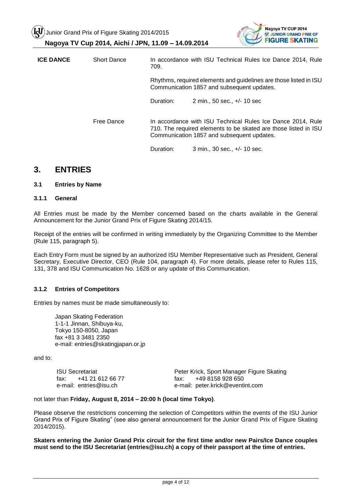Junior Grand Prix of Figure Skating 2014/2015





| <b>ICE DANCE</b> | <b>Short Dance</b> | 709.      | In accordance with ISU Technical Rules Ice Dance 2014, Rule                                                                                                                  |  |  |
|------------------|--------------------|-----------|------------------------------------------------------------------------------------------------------------------------------------------------------------------------------|--|--|
|                  |                    |           | Rhythms, required elements and guidelines are those listed in ISU<br>Communication 1857 and subsequent updates.                                                              |  |  |
|                  |                    | Duration: | 2 min., 50 sec., +/- 10 sec                                                                                                                                                  |  |  |
|                  | Free Dance         |           | In accordance with ISU Technical Rules Ice Dance 2014, Rule<br>710. The required elements to be skated are those listed in ISU<br>Communication 1857 and subsequent updates. |  |  |
|                  |                    | Duration: | 3 min., 30 sec., +/- 10 sec.                                                                                                                                                 |  |  |

#### **3. ENTRIES**

#### **3.1 Entries by Name**

#### **3.1.1 General**

All Entries must be made by the Member concerned based on the charts available in the General Announcement for the Junior Grand Prix of Figure Skating 2014/15.

Receipt of the entries will be confirmed in writing immediately by the Organizing Committee to the Member (Rule 115, paragraph 5).

Each Entry Form must be signed by an authorized ISU Member Representative such as President, General Secretary, Executive Director, CEO (Rule 104, paragraph 4). For more details, please refer to Rules 115, 131, 378 and ISU Communication No. 1628 or any update of this Communication.

#### **3.1.2 Entries of Competitors**

Entries by names must be made simultaneously to:

Japan Skating Federation 1-1-1 Jinnan, Shibuya-ku, Tokyo 150-8050, Japan fax +81 3 3481 2350 e-mail: entries@skatingjapan.or.jp

and to:

| <b>ISU Secretariat</b>   | Peter Krick, Sport Manager Figure Skating |  |  |  |
|--------------------------|-------------------------------------------|--|--|--|
| +41 21 612 66 77<br>fax: | +49 8158 928 650<br>fax: I                |  |  |  |
| e-mail: entries@isu.ch   | e-mail: peter.krick@eventint.com          |  |  |  |

#### not later than **Friday, August 8, 2014 – 20:00 h (local time Tokyo)**.

Please observe the restrictions concerning the selection of Competitors within the events of the ISU Junior Grand Prix of Figure Skating" (see also general announcement for the Junior Grand Prix of Figure Skating 2014/2015).

**Skaters entering the Junior Grand Prix circuit for the first time and/or new Pairs/Ice Dance couples must send to the ISU Secretariat (entries@isu.ch) a copy of their passport at the time of entries.**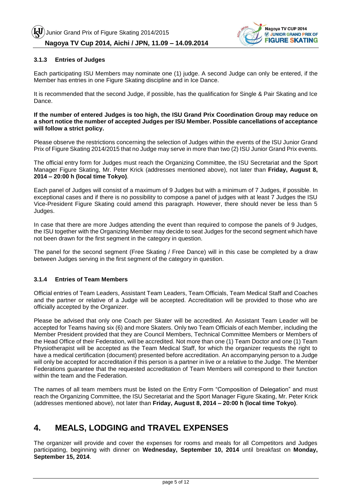

#### **3.1.3 Entries of Judges**

Each participating ISU Members may nominate one (1) judge. A second Judge can only be entered, if the Member has entries in one Figure Skating discipline and in Ice Dance.

It is recommended that the second Judge, if possible, has the qualification for Single & Pair Skating and Ice Dance.

#### **If the number of entered Judges is too high, the ISU Grand Prix Coordination Group may reduce on a short notice the number of accepted Judges per ISU Member. Possible cancellations of acceptance will follow a strict policy.**

Please observe the restrictions concerning the selection of Judges within the events of the ISU Junior Grand Prix of Figure Skating 2014/2015 that no Judge may serve in more than two (2) ISU Junior Grand Prix events.

The official entry form for Judges must reach the Organizing Committee, the ISU Secretariat and the Sport Manager Figure Skating, Mr. Peter Krick (addresses mentioned above), not later than **Friday, August 8, 2014 – 20:00 h (local time Tokyo)**.

Each panel of Judges will consist of a maximum of 9 Judges but with a minimum of 7 Judges, if possible. In exceptional cases and if there is no possibility to compose a panel of judges with at least 7 Judges the ISU Vice-President Figure Skating could amend this paragraph. However, there should never be less than 5 Judges.

In case that there are more Judges attending the event than required to compose the panels of 9 Judges, the ISU together with the Organizing Member may decide to seat Judges for the second segment which have not been drawn for the first segment in the category in question.

The panel for the second segment (Free Skating / Free Dance) will in this case be completed by a draw between Judges serving in the first segment of the category in question.

#### **3.1.4 Entries of Team Members**

Official entries of Team Leaders, Assistant Team Leaders, Team Officials, Team Medical Staff and Coaches and the partner or relative of a Judge will be accepted. Accreditation will be provided to those who are officially accepted by the Organizer.

Please be advised that only one Coach per Skater will be accredited. An Assistant Team Leader will be accepted for Teams having six (6) and more Skaters. Only two Team Officials of each Member, including the Member President provided that they are Council Members, Technical Committee Members or Members of the Head Office of their Federation, will be accredited. Not more than one (1) Team Doctor and one (1) Team Physiotherapist will be accepted as the Team Medical Staff, for which the organizer requests the right to have a medical certification (document) presented before accreditation. An accompanying person to a Judge will only be accepted for accreditation if this person is a partner in live or a relative to the Judge. The Member Federations guarantee that the requested accreditation of Team Members will correspond to their function within the team and the Federation.

The names of all team members must be listed on the Entry Form "Composition of Delegation" and must reach the Organizing Committee, the ISU Secretariat and the Sport Manager Figure Skating, Mr. Peter Krick (addresses mentioned above), not later than **Friday, August 8, 2014 – 20:00 h (local time Tokyo)**.

# **4. MEALS, LODGING and TRAVEL EXPENSES**

The organizer will provide and cover the expenses for rooms and meals for all Competitors and Judges participating, beginning with dinner on **Wednesday, September 10, 2014** until breakfast on **Monday, September 15, 2014**.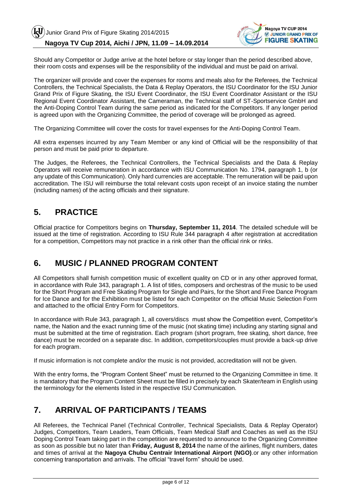

Should any Competitor or Judge arrive at the hotel before or stay longer than the period described above, their room costs and expenses will be the responsibility of the individual and must be paid on arrival.

The organizer will provide and cover the expenses for rooms and meals also for the Referees, the Technical Controllers, the Technical Specialists, the Data & Replay Operators, the ISU Coordinator for the ISU Junior Grand Prix of Figure Skating, the ISU Event Coordinator, the ISU Event Coordinator Assistant or the ISU Regional Event Coordinator Assistant, the Cameraman, the Technical staff of ST-Sportservice GmbH and the Anti-Doping Control Team during the same period as indicated for the Competitors. If any longer period is agreed upon with the Organizing Committee, the period of coverage will be prolonged as agreed.

The Organizing Committee will cover the costs for travel expenses for the Anti-Doping Control Team.

All extra expenses incurred by any Team Member or any kind of Official will be the responsibility of that person and must be paid prior to departure.

The Judges, the Referees, the Technical Controllers, the Technical Specialists and the Data & Replay Operators will receive remuneration in accordance with ISU Communication No. 1794, paragraph 1, b (or any update of this Communication). Only hard currencies are acceptable. The remuneration will be paid upon accreditation. The ISU will reimburse the total relevant costs upon receipt of an invoice stating the number (including names) of the acting officials and their signature.

#### **5. PRACTICE**

Official practice for Competitors begins on **Thursday, September 11, 2014**. The detailed schedule will be issued at the time of registration. According to ISU Rule 344 paragraph 4 after registration at accreditation for a competition, Competitors may not practice in a rink other than the official rink or rinks.

#### **6. MUSIC / PLANNED PROGRAM CONTENT**

All Competitors shall furnish competition music of excellent quality on CD or in any other approved format, in accordance with Rule 343, paragraph 1. A list of titles, composers and orchestras of the music to be used for the Short Program and Free Skating Program for Single and Pairs, for the Short and Free Dance Program for Ice Dance and for the Exhibition must be listed for each Competitor on the official Music Selection Form and attached to the official Entry Form for Competitors.

In accordance with Rule 343, paragraph 1, all covers/discs must show the Competition event, Competitor's name, the Nation and the exact running time of the music (not skating time) including any starting signal and must be submitted at the time of registration. Each program (short program, free skating, short dance, free dance) must be recorded on a separate disc. In addition, competitors/couples must provide a back-up drive for each program.

If music information is not complete and/or the music is not provided, accreditation will not be given.

With the entry forms, the "Program Content Sheet" must be returned to the Organizing Committee in time. It is mandatory that the Program Content Sheet must be filled in precisely by each Skater/team in English using the terminology for the elements listed in the respective ISU Communication.

# **7. ARRIVAL OF PARTICIPANTS / TEAMS**

All Referees, the Technical Panel (Technical Controller, Technical Specialists, Data & Replay Operator) Judges, Competitors, Team Leaders, Team Officials, Team Medical Staff and Coaches as well as the ISU Doping Control Team taking part in the competition are requested to announce to the Organizing Committee as soon as possible but no later than **Friday, August 8, 2014** the name of the airlines, flight numbers, dates and times of arrival at the **Nagoya Chubu Centrair International Airport (NGO)**.or any other information concerning transportation and arrivals. The official "travel form" should be used.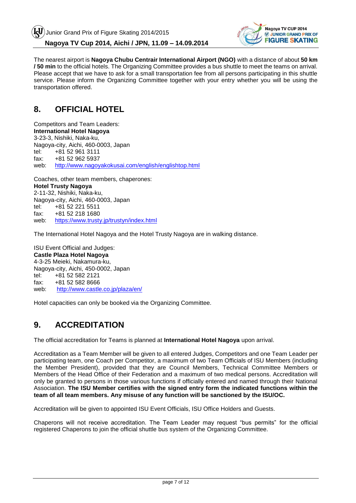

The nearest airport is **Nagoya Chubu Centrair International Airport (NGO)** with a distance of about **50 km / 50 min** to the official hotels. The Organizing Committee provides a bus shuttle to meet the teams on arrival. Please accept that we have to ask for a small transportation fee from all persons participating in this shuttle service. Please inform the Organizing Committee together with your entry whether you will be using the transportation offered.

#### **8. OFFICIAL HOTEL**

Competitors and Team Leaders: **International Hotel Nagoya** 3-23-3, Nishiki, Naka-ku, Nagoya-city, Aichi, 460-0003, Japan tel: +81 52 961 3111 fax: +81 52 962 5937 web: <http://www.nagoyakokusai.com/english/englishtop.html>

Coaches, other team members, chaperones: **Hotel Trusty Nagoya** 2-11-32, Nishiki, Naka-ku, Nagoya-city, Aichi, 460-0003, Japan<br>tel: +81 52 221 5511 tel: +81 52 221 5511 fax: +81 52 218 1680 web: <https://www.trusty.jp/trustyn/index.html>

The International Hotel Nagoya and the Hotel Trusty Nagoya are in walking distance.

ISU Event Official and Judges: **Castle Plaza Hotel Nagoya** 4-3-25 Meieki, Nakamura-ku, Nagoya-city, Aichi, 450-0002, Japan tel: +81 52 582 2121 fax: +81 52 582 8666 web: http://www.castle.co.jp/plaza/en/

Hotel capacities can only be booked via the Organizing Committee.

# **9. ACCREDITATION**

The official accreditation for Teams is planned at **International Hotel Nagoya** upon arrival.

Accreditation as a Team Member will be given to all entered Judges, Competitors and one Team Leader per participating team, one Coach per Competitor, a maximum of two Team Officials of ISU Members (including the Member President), provided that they are Council Members, Technical Committee Members or Members of the Head Office of their Federation and a maximum of two medical persons. Accreditation will only be granted to persons in those various functions if officially entered and named through their National Association. **The ISU Member certifies with the signed entry form the indicated functions within the team of all team members. Any misuse of any function will be sanctioned by the ISU/OC.**

Accreditation will be given to appointed ISU Event Officials, ISU Office Holders and Guests.

Chaperons will not receive accreditation. The Team Leader may request "bus permits" for the official registered Chaperons to join the official shuttle bus system of the Organizing Committee.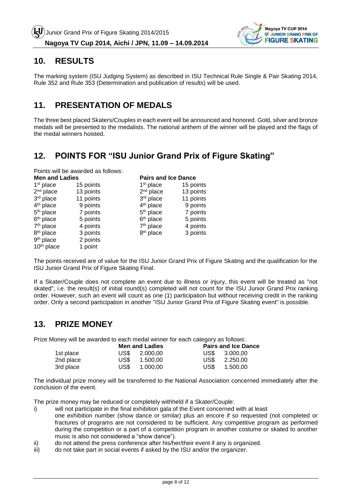

#### **10. RESULTS**

The marking system (ISU Judging System) as described in ISU Technical Rule Single & Pair Skating 2014, Rule 352 and Rule 353 (Determination and publication of results) will be used.

#### **11. PRESENTATION OF MEDALS**

The three best placed Skaters/Couples in each event will be announced and honored. Gold, silver and bronze medals will be presented to the medalists. The national anthem of the winner will be played and the flags of the medal winners hoisted.

# **12. POINTS FOR "ISU Junior Grand Prix of Figure Skating"**

Points will be awarded as follows: **Men and Ladies Pairs and Ice Dance**

| <b>INGH AHU LAUIGS</b> |           |                       | Lalls and luc Dance |  |  |
|------------------------|-----------|-----------------------|---------------------|--|--|
| 1 <sup>st</sup> place  | 15 points | $1st$ place           | 15 points           |  |  |
| $2nd$ place            | 13 points | $2nd$ place           | 13 points           |  |  |
| 3rd place              | 11 points | 3rd place             | 11 points           |  |  |
| 4 <sup>th</sup> place  | 9 points  | 4 <sup>th</sup> place | 9 points            |  |  |
| 5 <sup>th</sup> place  | 7 points  | 5 <sup>th</sup> place | 7 points            |  |  |
| 6 <sup>th</sup> place  | 5 points  | 6 <sup>th</sup> place | 5 points            |  |  |
| 7 <sup>th</sup> place  | 4 points  | 7 <sup>th</sup> place | 4 points            |  |  |
| 8 <sup>th</sup> place  | 3 points  | 8 <sup>th</sup> place | 3 points            |  |  |
| 9 <sup>th</sup> place  | 2 points  |                       |                     |  |  |
| 10 <sup>th</sup> place | 1 point   |                       |                     |  |  |

The points received are of value for the ISU Junior Grand Prix of Figure Skating and the qualification for the ISU Junior Grand Prix of Figure Skating Final.

If a Skater/Couple does not complete an event due to illness or injury, this event will be treated as "not skated", i.e. the result(s) of initial round(s) completed will not count for the ISU Junior Grand Prix ranking order. However, such an event will count as one (1) participation but without receiving credit in the ranking order. Only a second participation in another "ISU Junior Grand Prix of Figure Skating event" is possible.

#### **13. PRIZE MONEY**

Prize Money will be awarded to each medal winner for each category as follows:

|           | <b>Men and Ladies</b> | <b>Pairs and Ice Dance</b> |
|-----------|-----------------------|----------------------------|
| 1st place | US\$ 2,000.00         | US\$ 3,000,00              |
| 2nd place | US\$.<br>1.500.00     | US\$<br>2.250.00           |
| 3rd place | US\$.<br>1.000.00     | US\$<br>1.500.00           |

The individual prize money will be transferred to the National Association concerned immediately after the conclusion of the event.

The prize money may be reduced or completely withheld if a Skater/Couple:

- i) will not participate in the final exhibition gala of the Event concerned with at least one exhibition number (show dance or similar) plus an encore if so requested (not completed or fractures of programs are not considered to be sufficient. Any competitive program as performed during the competition or a part of a competition program in another costume or skated to another music is also not considered a "show dance").
- ii) do not attend the press conference after his/her/their event if any is organized.
- iii) do not take part in social events if asked by the ISU and/or the organizer.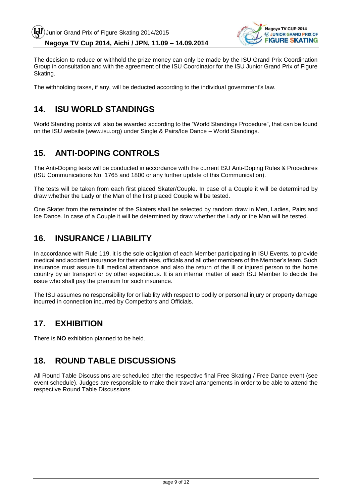

The decision to reduce or withhold the prize money can only be made by the ISU Grand Prix Coordination Group in consultation and with the agreement of the ISU Coordinator for the ISU Junior Grand Prix of Figure Skating.

The withholding taxes, if any, will be deducted according to the individual government's law.

#### **14. ISU WORLD STANDINGS**

World Standing points will also be awarded according to the "World Standings Procedure", that can be found on the ISU website (www.isu.org) under Single & Pairs/Ice Dance – World Standings.

#### **15. ANTI-DOPING CONTROLS**

The Anti-Doping tests will be conducted in accordance with the current ISU Anti-Doping Rules & Procedures (ISU Communications No. 1765 and 1800 or any further update of this Communication).

The tests will be taken from each first placed Skater/Couple. In case of a Couple it will be determined by draw whether the Lady or the Man of the first placed Couple will be tested.

One Skater from the remainder of the Skaters shall be selected by random draw in Men, Ladies, Pairs and Ice Dance. In case of a Couple it will be determined by draw whether the Lady or the Man will be tested.

#### **16. INSURANCE / LIABILITY**

In accordance with Rule 119, it is the sole obligation of each Member participating in ISU Events, to provide medical and accident insurance for their athletes, officials and all other members of the Member's team. Such insurance must assure full medical attendance and also the return of the ill or injured person to the home country by air transport or by other expeditious. It is an internal matter of each ISU Member to decide the issue who shall pay the premium for such insurance.

The ISU assumes no responsibility for or liability with respect to bodily or personal injury or property damage incurred in connection incurred by Competitors and Officials.

# **17. EXHIBITION**

There is **NO** exhibition planned to be held.

# **18. ROUND TABLE DISCUSSIONS**

All Round Table Discussions are scheduled after the respective final Free Skating / Free Dance event (see event schedule). Judges are responsible to make their travel arrangements in order to be able to attend the respective Round Table Discussions.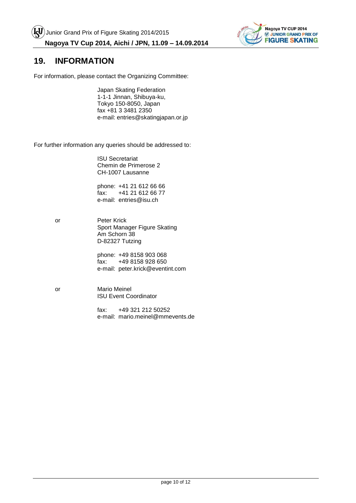

#### **19. INFORMATION**

For information, please contact the Organizing Committee:

Japan Skating Federation 1-1-1 Jinnan, Shibuya-ku, Tokyo 150-8050, Japan fax +81 3 3481 2350 e-mail: entries@skatingjapan.or.jp

For further information any queries should be addressed to:

ISU Secretariat Chemin de Primerose 2 CH-1007 Lausanne

phone: +41 21 612 66 66<br>fax: +41 21 612 66 77 +41 21 612 66 77 e-mail: entries@isu.ch

or Peter Krick Sport Manager Figure Skating Am Schorn 38 D-82327 Tutzing

> phone: +49 8158 903 068 fax: +49 8158 928 650 e-mail: peter.krick@eventint.com

or Mario Meinel ISU Event Coordinator

> fax: +49 321 212 50252 e-mail: mario.meinel@mmevents.de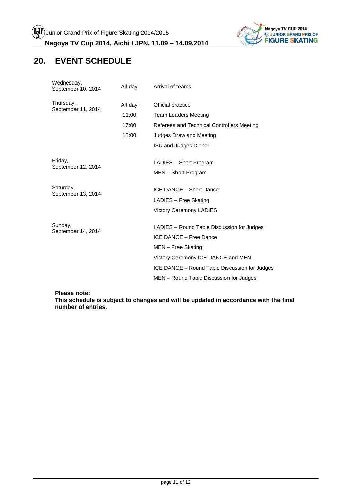

# **20. EVENT SCHEDULE**

| Wednesday,<br>September 10, 2014 | All day | Arrival of teams                              |  |  |
|----------------------------------|---------|-----------------------------------------------|--|--|
| Thursday,<br>September 11, 2014  | All day | Official practice                             |  |  |
|                                  | 11:00   | <b>Team Leaders Meeting</b>                   |  |  |
|                                  | 17:00   | Referees and Technical Controllers Meeting    |  |  |
|                                  | 18:00   | Judges Draw and Meeting                       |  |  |
|                                  |         | <b>ISU and Judges Dinner</b>                  |  |  |
| Friday,<br>September 12, 2014    |         | LADIES - Short Program                        |  |  |
|                                  |         | MEN - Short Program                           |  |  |
| Saturday,                        |         | ICE DANCE - Short Dance                       |  |  |
| September 13, 2014               |         | LADIES - Free Skating                         |  |  |
|                                  |         | <b>Victory Ceremony LADIES</b>                |  |  |
| Sunday,                          |         | LADIES - Round Table Discussion for Judges    |  |  |
| September 14, 2014               |         | ICE DANCE - Free Dance                        |  |  |
|                                  |         | MEN - Free Skating                            |  |  |
|                                  |         | Victory Ceremony ICE DANCE and MEN            |  |  |
|                                  |         | ICE DANCE - Round Table Discussion for Judges |  |  |
|                                  |         | MEN – Round Table Discussion for Judges       |  |  |
|                                  |         |                                               |  |  |

**Please note:**

**This schedule is subject to changes and will be updated in accordance with the final number of entries.**